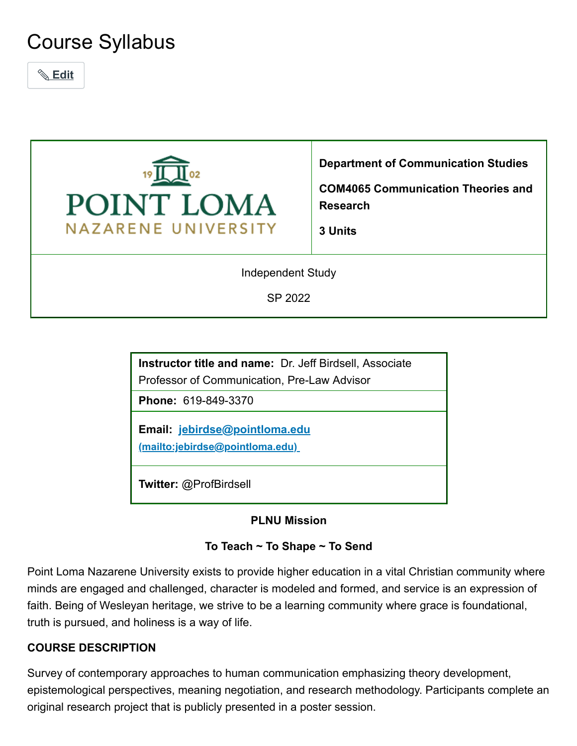# Course Syllabus

 **Edit**



**Department of Communication Studies**

**COM4065 Communication Theories and Research**

**3 Units**

Independent Study

SP 2022

**Instructor title and name:** Dr. Jeff Birdsell, Associate Professor of Communication, Pre-Law Advisor

**Phone:** 619-849-3370

**Email: jebirdse@pointloma.edu [\(mailto:jebirdse@pointloma.edu\)](mailto:jebirdse@pointloma.edu)**

**Twitter:** @ProfBirdsell

#### **PLNU Mission**

#### **To Teach ~ To Shape ~ To Send**

Point Loma Nazarene University exists to provide higher education in a vital Christian community where minds are engaged and challenged, character is modeled and formed, and service is an expression of faith. Being of Wesleyan heritage, we strive to be a learning community where grace is foundational, truth is pursued, and holiness is a way of life.

#### **COURSE DESCRIPTION**

Survey of contemporary approaches to human communication emphasizing theory development, epistemological perspectives, meaning negotiation, and research methodology. Participants complete an original research project that is publicly presented in a poster session.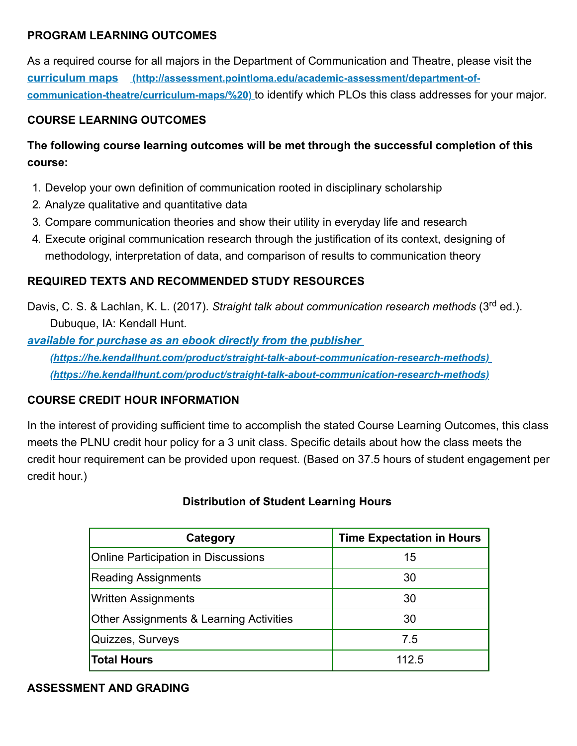#### **PROGRAM LEARNING OUTCOMES**

As a required course for all majors in the Department of Communication and Theatre, please visit the **curriculum maps [\(http://assessment.pointloma.edu/academic-assessment/department-of](http://assessment.pointloma.edu/academic-assessment/department-of-communication-theatre/curriculum-maps/%20)communication-theatre/curriculum-maps/%20)** to identify which PLOs this class addresses for your major.

#### **COURSE LEARNING OUTCOMES**

# **The following course learning outcomes will be met through the successful completion of this course:**

- 1. Develop your own definition of communication rooted in disciplinary scholarship
- 2. Analyze qualitative and quantitative data
- 3. Compare communication theories and show their utility in everyday life and research
- 4. Execute original communication research through the justification of its context, designing of methodology, interpretation of data, and comparison of results to communication theory

## **REQUIRED TEXTS AND RECOMMENDED STUDY RESOURCES**

Davis, C. S. & Lachlan, K. L. (2017). *Straight talk about communication research methods* (3<sup>rd</sup> ed.). Dubuque, IA: Kendall Hunt.

*available for purchase as an ebook directly from the publisher*

*[\(https://he.kendallhunt.com/product/straight-talk-about-communication-research-methods\)](https://he.kendallhunt.com/product/straight-talk-about-communication-research-methods) (https://he.kendallhunt.com/product/straight-talk-about-communication-research-methods)*

## **COURSE CREDIT HOUR INFORMATION**

In the interest of providing sufficient time to accomplish the stated Course Learning Outcomes, this class meets the PLNU credit hour policy for a 3 unit class. Specific details about how the class meets the credit hour requirement can be provided upon request. (Based on 37.5 hours of student engagement per credit hour.)

#### **Distribution of Student Learning Hours**

| Category                                           | <b>Time Expectation in Hours</b> |
|----------------------------------------------------|----------------------------------|
| <b>Online Participation in Discussions</b>         | 15                               |
| <b>Reading Assignments</b>                         | 30                               |
| <b>Written Assignments</b>                         | 30                               |
| <b>Other Assignments &amp; Learning Activities</b> | 30                               |
| Quizzes, Surveys                                   | 7.5                              |
| <b>Total Hours</b>                                 | 112.5                            |

#### **ASSESSMENT AND GRADING**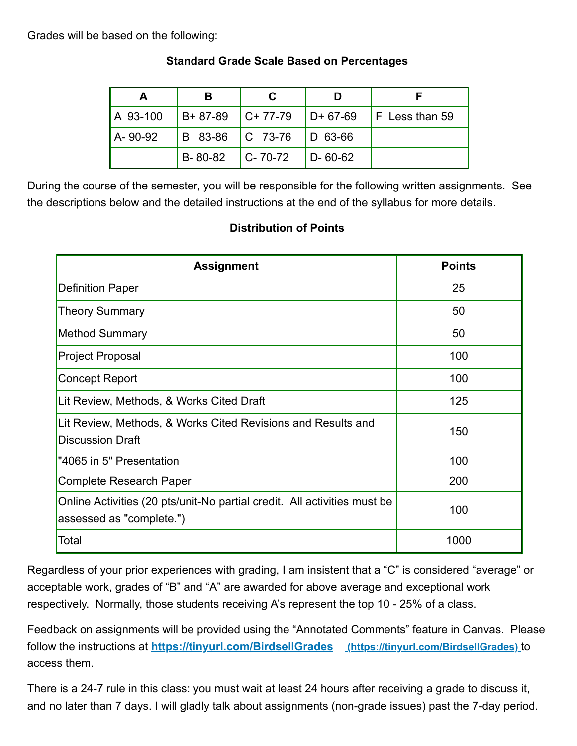#### Grades will be based on the following:

|            | в                           |                             |               |                                                |
|------------|-----------------------------|-----------------------------|---------------|------------------------------------------------|
| LA 93-100  |                             |                             |               | $ B+87-89 $ C+77-79 $ D+67-69 $ F Less than 59 |
| l A- 90-92 |                             | B 83-86   C 73-76   D 63-66 |               |                                                |
|            | $B - 80 - 82$ $C - 70 - 72$ |                             | $D - 60 - 62$ |                                                |

## **Standard Grade Scale Based on Percentages**

During the course of the semester, you will be responsible for the following written assignments. See the descriptions below and the detailed instructions at the end of the syllabus for more details.

## **Distribution of Points**

| <b>Assignment</b>                                                                                    | <b>Points</b> |
|------------------------------------------------------------------------------------------------------|---------------|
| <b>Definition Paper</b>                                                                              | 25            |
| <b>Theory Summary</b>                                                                                | 50            |
| <b>Method Summary</b>                                                                                | 50            |
| <b>Project Proposal</b>                                                                              | 100           |
| <b>Concept Report</b>                                                                                | 100           |
| Lit Review, Methods, & Works Cited Draft                                                             | 125           |
| Lit Review, Methods, & Works Cited Revisions and Results and<br><b>Discussion Draft</b>              | 150           |
| "4065 in 5" Presentation                                                                             | 100           |
| <b>Complete Research Paper</b>                                                                       | 200           |
| Online Activities (20 pts/unit-No partial credit. All activities must be<br>assessed as "complete.") | 100           |
| Total                                                                                                | 1000          |

Regardless of your prior experiences with grading, I am insistent that a "C" is considered "average" or acceptable work, grades of "B" and "A" are awarded for above average and exceptional work respectively. Normally, those students receiving A's represent the top 10 - 25% of a class.

Feedback on assignments will be provided using the "Annotated Comments" feature in Canvas. Please follow the instructions at **<https://tinyurl.com/BirdsellGrades> (https://tinyurl.com/BirdsellGrades)** to access them.

There is a 24-7 rule in this class: you must wait at least 24 hours after receiving a grade to discuss it, and no later than 7 days. I will gladly talk about assignments (non-grade issues) past the 7-day period.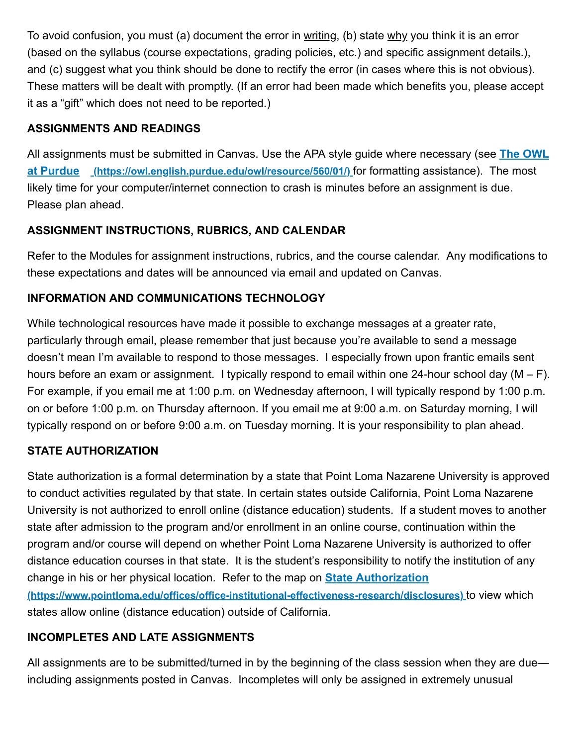To avoid confusion, you must (a) document the error in writing, (b) state why you think it is an error (based on the syllabus (course expectations, grading policies, etc.) and specific assignment details.), and (c) suggest what you think should be done to rectify the error (in cases where this is not obvious). These matters will be dealt with promptly. (If an error had been made which benefits you, please accept it as a "gift" which does not need to be reported.)

## **ASSIGNMENTS AND READINGS**

[All assignments must be submitted in Canvas. Use the APA style guide where necessary \(see](https://owl.english.purdue.edu/owl/resource/560/01/) **The OWL at Purdue (https://owl.english.purdue.edu/owl/resource/560/01/)** for formatting assistance). The most likely time for your computer/internet connection to crash is minutes before an assignment is due. Please plan ahead.

# **ASSIGNMENT INSTRUCTIONS, RUBRICS, AND CALENDAR**

Refer to the Modules for assignment instructions, rubrics, and the course calendar. Any modifications to these expectations and dates will be announced via email and updated on Canvas.

## **INFORMATION AND COMMUNICATIONS TECHNOLOGY**

While technological resources have made it possible to exchange messages at a greater rate, particularly through email, please remember that just because you're available to send a message doesn't mean I'm available to respond to those messages. I especially frown upon frantic emails sent hours before an exam or assignment. I typically respond to email within one 24-hour school day (M – F). For example, if you email me at 1:00 p.m. on Wednesday afternoon, I will typically respond by 1:00 p.m. on or before 1:00 p.m. on Thursday afternoon. If you email me at 9:00 a.m. on Saturday morning, I will typically respond on or before 9:00 a.m. on Tuesday morning. It is your responsibility to plan ahead.

## **STATE AUTHORIZATION**

State authorization is a formal determination by a state that Point Loma Nazarene University is approved to conduct activities regulated by that state. In certain states outside California, Point Loma Nazarene University is not authorized to enroll online (distance education) students. If a student moves to another state after admission to the program and/or enrollment in an online course, continuation within the program and/or course will depend on whether Point Loma Nazarene University is authorized to offer distance education courses in that state. It is the student's responsibility to notify the institution of any change in his or her physical location. Refer to the map on **State Authorization [\(https://www.pointloma.edu/offices/office-institutional-effectiveness-research/disclosures\)](https://www.pointloma.edu/offices/office-institutional-effectiveness-research/disclosures)** to view which states allow online (distance education) outside of California.

## **INCOMPLETES AND LATE ASSIGNMENTS**

All assignments are to be submitted/turned in by the beginning of the class session when they are due including assignments posted in Canvas. Incompletes will only be assigned in extremely unusual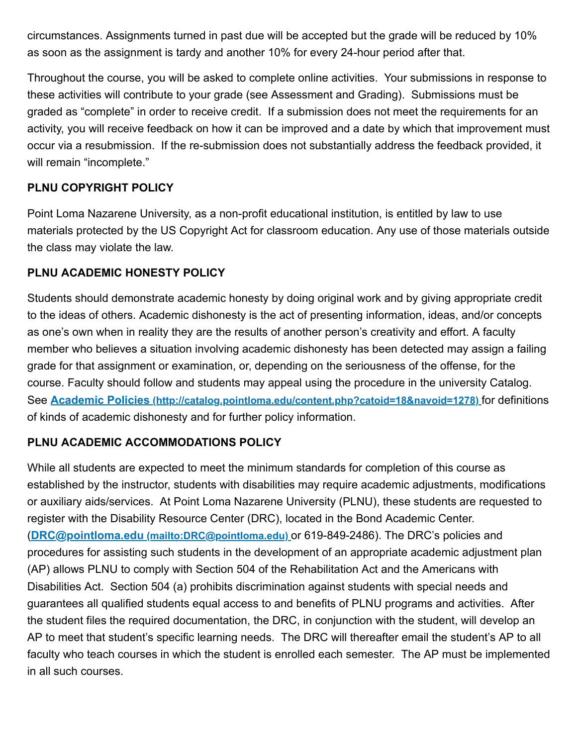circumstances. Assignments turned in past due will be accepted but the grade will be reduced by 10% as soon as the assignment is tardy and another 10% for every 24-hour period after that.

Throughout the course, you will be asked to complete online activities. Your submissions in response to these activities will contribute to your grade (see Assessment and Grading). Submissions must be graded as "complete" in order to receive credit. If a submission does not meet the requirements for an activity, you will receive feedback on how it can be improved and a date by which that improvement must occur via a resubmission. If the re-submission does not substantially address the feedback provided, it will remain "incomplete."

## **PLNU COPYRIGHT POLICY**

Point Loma Nazarene University, as a non-profit educational institution, is entitled by law to use materials protected by the US Copyright Act for classroom education. Any use of those materials outside the class may violate the law.

#### **PLNU ACADEMIC HONESTY POLICY**

Students should demonstrate academic honesty by doing original work and by giving appropriate credit to the ideas of others. Academic dishonesty is the act of presenting information, ideas, and/or concepts as one's own when in reality they are the results of another person's creativity and effort. A faculty member who believes a situation involving academic dishonesty has been detected may assign a failing grade for that assignment or examination, or, depending on the seriousness of the offense, for the course. Faculty should follow and students may appeal using the procedure in the university Catalog. See **Academic Policies [\(http://catalog.pointloma.edu/content.php?catoid=18&navoid=1278\)](http://catalog.pointloma.edu/content.php?catoid=18&navoid=1278)** for definitions of kinds of academic dishonesty and for further policy information.

## **PLNU ACADEMIC ACCOMMODATIONS POLICY**

While all students are expected to meet the minimum standards for completion of this course as established by the instructor, students with disabilities may require academic adjustments, modifications or auxiliary aids/services. At Point Loma Nazarene University (PLNU), these students are requested to register with the Disability Resource Center (DRC), located in the Bond Academic Center. (**DRC@pointloma.edu [\(mailto:DRC@pointloma.edu\)](mailto:DRC@pointloma.edu)** or 619-849-2486). The DRC's policies and procedures for assisting such students in the development of an appropriate academic adjustment plan (AP) allows PLNU to comply with Section 504 of the Rehabilitation Act and the Americans with Disabilities Act. Section 504 (a) prohibits discrimination against students with special needs and guarantees all qualified students equal access to and benefits of PLNU programs and activities. After the student files the required documentation, the DRC, in conjunction with the student, will develop an AP to meet that student's specific learning needs. The DRC will thereafter email the student's AP to all faculty who teach courses in which the student is enrolled each semester. The AP must be implemented in all such courses.